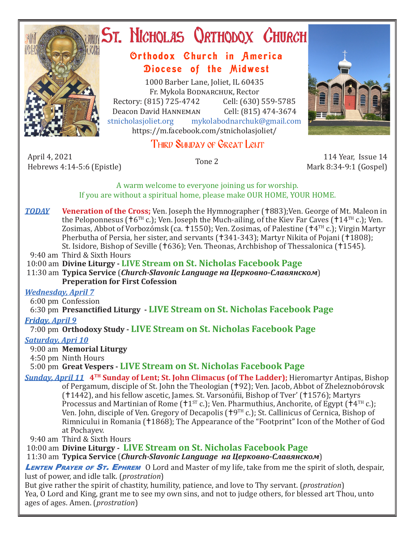

# **ST. NICHOLAS QRTHODOX CHURCH**

## Orthodox Church in America Diocese of the Midwest

1000 Barber Lane, Joliet, IL 60435 Fr. Mykola Bodnarchuk, Rector Rectory: (815) 725-4742 Cell: (630) 559-5785<br>Deacon David HANNEMAN Cell: (815) 474-3674 Deacon David HANNEMAN<br>stnicholasioliet.org mykola mykolabodnarchuk@gmail.com https://m.facebook.com/stnicholasjoliet/

## THIRD SUNDAY OF GREAT LENT

April 4, 2021 April 4, 2021 114 Year, Issue 14<br>Hebrews 4:14-5:6 (Epistle) Tone 2 114 Year, Issue 14

Mark 8:34-9:1 (Gospel)

A warm welcome to everyone joining us for worship. If you are without a spiritual home, please make OUR HOME, YOUR HOME.

*TODAY* Veneration of the Cross; Ven. Joseph the Hymnographer (†883);Ven. George of Mt. Maleon in the Peloponnesus ( $\pm 6$ <sup>TH</sup> c.); Ven. Joseph the Much-ailing, of the Kiev Far Caves ( $\pm 14$ <sup>TH</sup> c.); Ven. Zosimas, Abbot of Vorbozómsk (ca. †1550); Ven. Zosimas, of Palestine († $4^{TH}$  c.); Virgin Martyr Pherbutha of Persia, her sister, and servants (†341-343); Martyr Nikita of Pojani (†1808); St. Isidore, Bishop of Seville (†636); Ven. Theonas, Archbishop of Thessalonica (†1545).

9:40 am Third & Sixth Hours

10:00 am **Divine Liturgy - LIVE Stream on St. Nicholas Facebook Page**

 11:30 am **Typica Service** (*Church-Slavonic Language на Церковно-Славянском*) **Preperation for First Cofession**

#### *Wednesday, April 7*

6:00 pm Confession

6:30 pm **Presanctified Liturgy - LIVE Stream on St. Nicholas Facebook Page**

#### *Friday, April 9*

7:00 pm **Orthodoxy Study - LIVE Stream on St. Nicholas Facebook Page**

#### *Saturday, Apri 10*

9:00 am **Memorial Liturgy**

4:50 pm Ninth Hours

### 5:00 pm **Great Vespers - LIVE Stream on St. Nicholas Facebook Page**

*Sunday, April 11* **4TH Sunday of Lent; St. John Climacus (of The Ladder);** Hieromartyr Antipas, Bishop of Pergamum, disciple of St. John the Theologian (†92); Ven. Jacob, Abbot of Zheleznobórovsk (1442), and his fellow ascetic, James. St. Varsonúfii, Bishop of Tver' (1576); Martyrs Processus and Martinian of Rome ( $11^{ST}$  c.); Ven. Pharmuthius, Anchorite, of Egypt ( $14^{TH}$  c.); Ven. John, disciple of Ven. Gregory of Decapolis ( $\uparrow$ 9<sup>TH</sup> c.); St. Callinicus of Cernica, Bishop of Rimnicului in Romania (†1868); The Appearance of the "Footprint" Icon of the Mother of God at Pochayev.

9:40 am Third & Sixth Hours

10:00 am **Divine Liturgy - LIVE Stream on St. Nicholas Facebook Page**

11:30 am **Typica Service** (*Church-Slavonic Language на Церковно-Славянском*)

LENTEN PRAYER OF ST. EPHREM O Lord and Master of my life, take from me the spirit of sloth, despair, lust of power, and idle talk. (*prostration*)

But give rather the spirit of chastity, humility, patience, and love to Thy servant. (*prostration*) Yea, O Lord and King, grant me to see my own sins, and not to judge others, for blessed art Thou, unto ages of ages. Amen. (*prostration*)